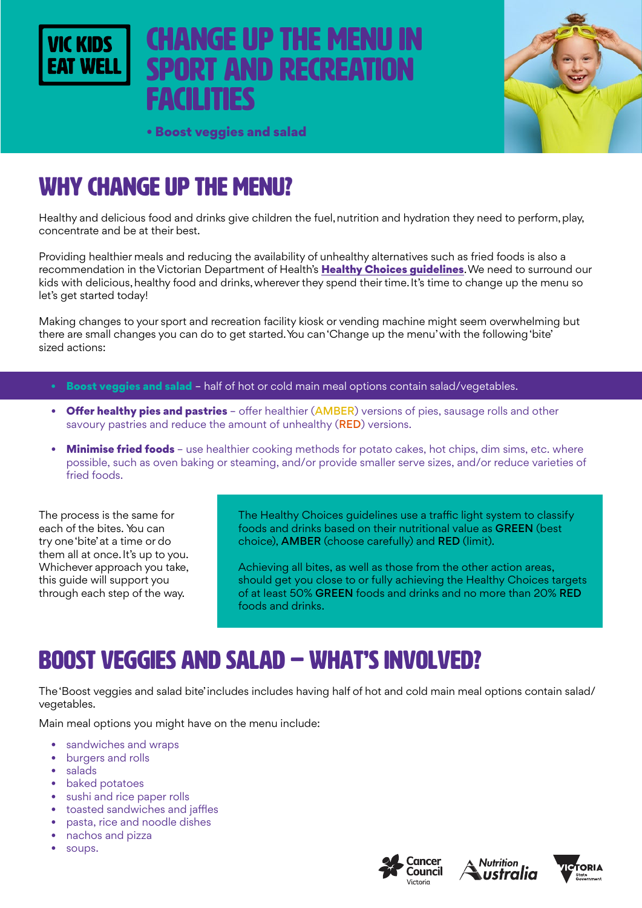

# change up the menu in **PORT AND RECREATION** facilities



• Boost veggies and salad

## WHY change up the menu?

Healthy and delicious food and drinks give children the fuel, nutrition and hydration they need to perform, play, concentrate and be at their best.

Providing healthier meals and reducing the availability of unhealthy alternatives such as fried foods is also a recommendation in the Victorian Department of Health's Healthy Choices quidelines. We need to surround our kids with delicious, healthy food and drinks, wherever they spend their time. It's time to change up the menu so let's get started today!

Making changes to your sport and recreation facility kiosk or vending machine might seem overwhelming but there are small changes you can do to get started. You can 'Change up the menu' with the following 'bite' sized actions:

- **Boost veggies and salad** half of hot or cold main meal options contain salad/vegetables.
- **Offer healthy pies and pastries** offer healthier (AMBER) versions of pies, sausage rolls and other savoury pastries and reduce the amount of unhealthy (RED) versions.
- **Minimise fried foods** use healthier cooking methods for potato cakes, hot chips, dim sims, etc. where possible, such as oven baking or steaming, and/or provide smaller serve sizes, and/or reduce varieties of fried foods.

The process is the same for each of the bites. You can try one 'bite' at a time or do them all at once. It's up to you. Whichever approach you take, this guide will support you through each step of the way.

The Healthy Choices guidelines use a traffic light system to classify foods and drinks based on their nutritional value as GREEN (best choice), AMBER (choose carefully) and RED (limit).

Achieving all bites, as well as those from the other action areas, should get you close to or fully achieving the Healthy Choices targets of at least 50% GREEN foods and drinks and no more than 20% RED foods and drinks.

## boost veggies and salad – WHAT'S INVOLVED?

The 'Boost veggies and salad bite' includes includes having half of hot and cold main meal options contain salad/ vegetables.

Main meal options you might have on the menu include:

- sandwiches and wraps
- burgers and rolls
- salads
- baked potatoes
- sushi and rice paper rolls
- toasted sandwiches and jaffles
- pasta, rice and noodle dishes
- nachos and pizza
- soups.





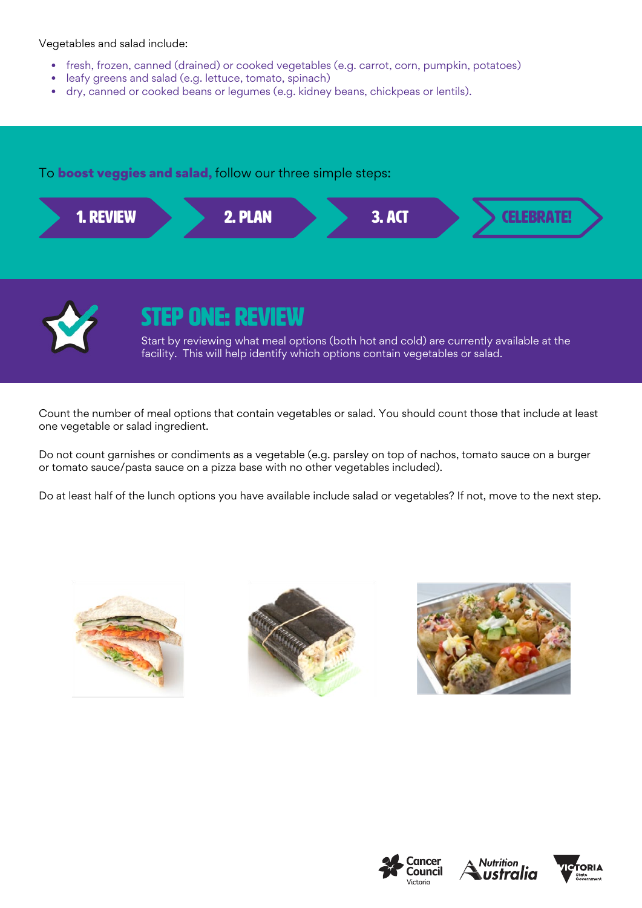Vegetables and salad include:

- fresh, frozen, canned (drained) or cooked vegetables (e.g. carrot, corn, pumpkin, potatoes)
- leafy greens and salad (e.g. lettuce, tomato, spinach)
- dry, canned or cooked beans or legumes (e.g. kidney beans, chickpeas or lentils).

#### To **boost veggies and salad,** follow our three simple steps:





### step one: review

Start by reviewing what meal options (both hot and cold) are currently available at the facility. This will help identify which options contain vegetables or salad.

Count the number of meal options that contain vegetables or salad. You should count those that include at least one vegetable or salad ingredient.

Do not count garnishes or condiments as a vegetable (e.g. parsley on top of nachos, tomato sauce on a burger or tomato sauce/pasta sauce on a pizza base with no other vegetables included).

Do at least half of the lunch options you have available include salad or vegetables? If not, move to the next step.











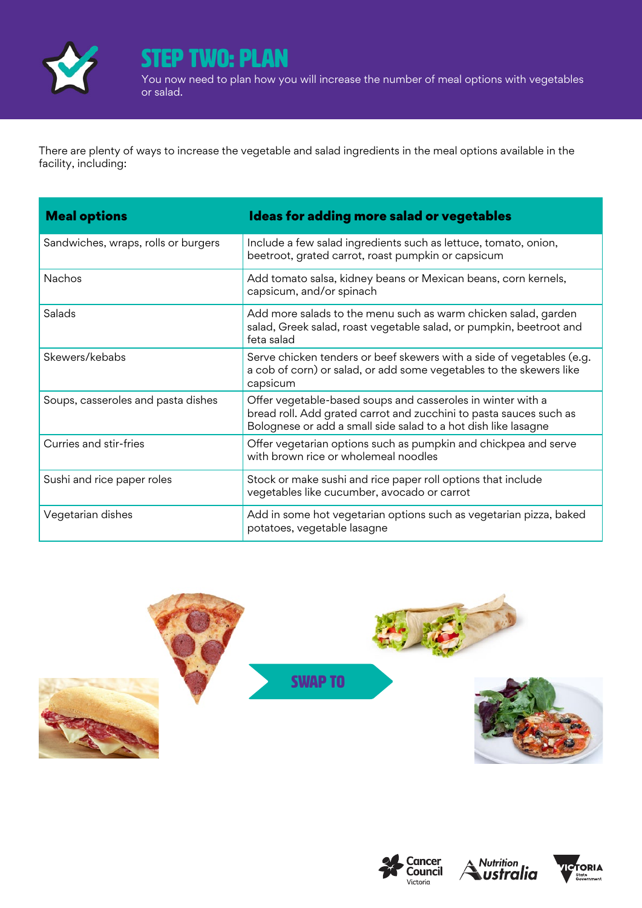

step two: plan

You now need to plan how you will increase the number of meal options with vegetables or salad.

There are plenty of ways to increase the vegetable and salad ingredients in the meal options available in the facility, including:

| <b>Meal options</b>                 | Ideas for adding more salad or vegetables                                                                                                                                                           |  |  |
|-------------------------------------|-----------------------------------------------------------------------------------------------------------------------------------------------------------------------------------------------------|--|--|
| Sandwiches, wraps, rolls or burgers | Include a few salad ingredients such as lettuce, tomato, onion,<br>beetroot, grated carrot, roast pumpkin or capsicum                                                                               |  |  |
| Nachos                              | Add tomato salsa, kidney beans or Mexican beans, corn kernels,<br>capsicum, and/or spinach                                                                                                          |  |  |
| Salads                              | Add more salads to the menu such as warm chicken salad, garden<br>salad, Greek salad, roast vegetable salad, or pumpkin, beetroot and<br>feta salad                                                 |  |  |
| Skewers/kebabs                      | Serve chicken tenders or beef skewers with a side of vegetables (e.g.<br>a cob of corn) or salad, or add some vegetables to the skewers like<br>capsicum                                            |  |  |
| Soups, casseroles and pasta dishes  | Offer vegetable-based soups and casseroles in winter with a<br>bread roll. Add grated carrot and zucchini to pasta sauces such as<br>Bolognese or add a small side salad to a hot dish like lasagne |  |  |
| Curries and stir-fries              | Offer vegetarian options such as pumpkin and chickpea and serve<br>with brown rice or wholemeal noodles                                                                                             |  |  |
| Sushi and rice paper roles          | Stock or make sushi and rice paper roll options that include<br>vegetables like cucumber, avocado or carrot                                                                                         |  |  |
| Vegetarian dishes                   | Add in some hot vegetarian options such as vegetarian pizza, baked<br>potatoes, vegetable lasagne                                                                                                   |  |  |







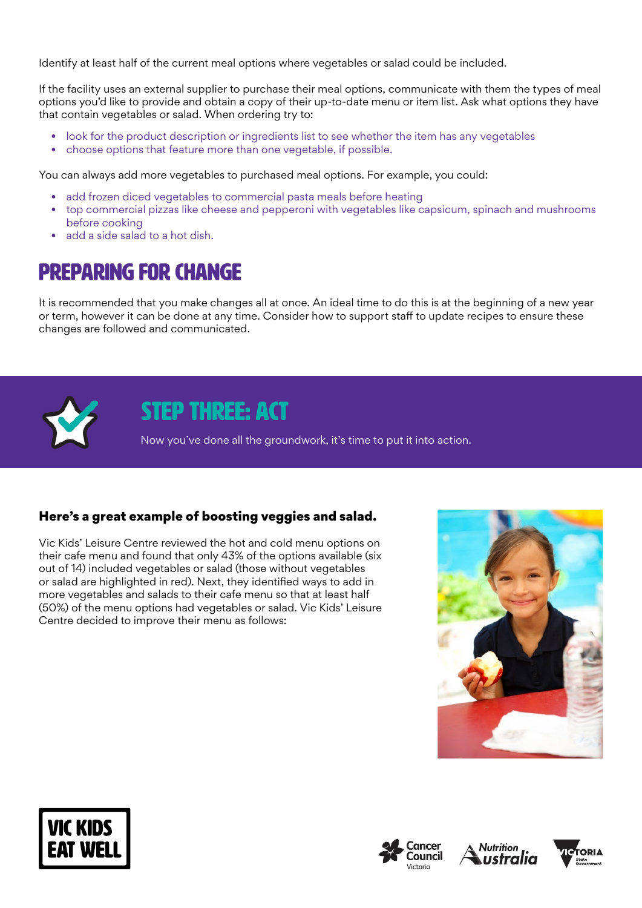Identify at least half of the current meal options where vegetables or salad could be included.

If the facility uses an external supplier to purchase their meal options, communicate with them the types of meal options you'd like to provide and obtain a copy of their up-to-date menu or item list. Ask what options they have that contain vegetables or salad. When ordering try to:

- look for the product description or ingredients list to see whether the item has any vegetables
- choose options that feature more than one vegetable, if possible.

You can always add more vegetables to purchased meal options. For example, you could:

- add frozen diced vegetables to commercial pasta meals before heating
- top commercial pizzas like cheese and pepperoni with vegetables like capsicum, spinach and mushrooms before cooking
- add a side salad to a hot dish.

## Preparing for change

It is recommended that you make changes all at once. An ideal time to do this is at the beginning of a new year or term, however it can be done at any time. Consider how to support staff to update recipes to ensure these changes are followed and communicated.



### STEP THREE: ACT

Now you've done all the groundwork, it's time to put it into action.

#### Here's a great example of boosting veggies and salad.

Vic Kids' Leisure Centre reviewed the hot and cold menu options on their cafe menu and found that only 43% of the options available (six out of 14) included vegetables or salad (those without vegetables or salad are highlighted in red). Next, they identified ways to add in more vegetables and salads to their cafe menu so that at least half (50%) of the menu options had vegetables or salad. Vic Kids' Leisure Centre decided to improve their menu as follows:









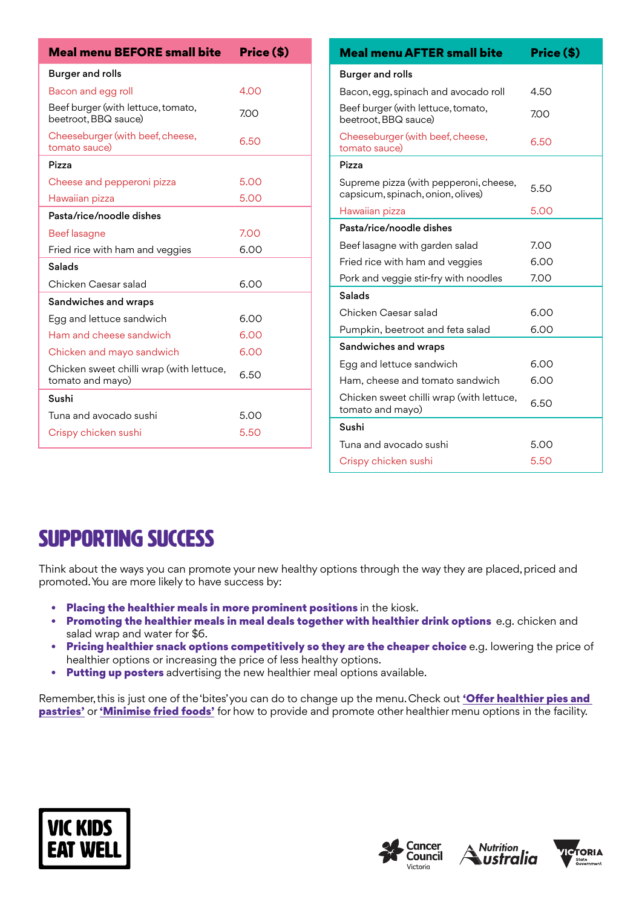| <b>Meal menu BEFORE small bite</b>                         | Price (\$)   | <b>Meal menu AFTER small bite</b>                                           | Price (\$) |
|------------------------------------------------------------|--------------|-----------------------------------------------------------------------------|------------|
| <b>Burger and rolls</b>                                    |              | <b>Burger and rolls</b>                                                     |            |
| Bacon and egg roll                                         | 4.00         | Bacon, egg, spinach and avocado roll                                        | 4.50       |
| Beef burger (with lettuce, tomato,<br>beetroot, BBQ sauce) | 7.00         | Beef burger (with lettuce, tomato,<br>beetroot, BBQ sauce)                  | 7.00       |
| Cheeseburger (with beef, cheese,<br>tomato sauce)          | 6.50         | Cheeseburger (with beef, cheese,<br>tomato sauce)                           | 6.50       |
| Pizza                                                      |              | Pizza                                                                       |            |
| Cheese and pepperoni pizza                                 | 5.00         | Supreme pizza (with pepperoni, cheese,<br>capsicum, spinach, onion, olives) | 5.50       |
| Hawaiian pizza                                             | 5.00         |                                                                             |            |
| Pasta/rice/noodle dishes                                   |              | Hawaiian pizza                                                              | 5.00       |
| Beef lasagne                                               | 7.00         | Pasta/rice/noodle dishes                                                    |            |
| Fried rice with ham and veggies                            | 6.00         | Beef lasagne with garden salad                                              | 7.00       |
| <b>Salads</b>                                              |              | Fried rice with ham and veggies                                             | 6.00       |
| Chicken Caesar salad                                       | 6.00         | Pork and veggie stir-fry with noodles                                       | 7.00       |
| Sandwiches and wraps                                       |              | <b>Salads</b>                                                               |            |
| Egg and lettuce sandwich                                   | 6.00<br>6.00 | Chicken Caesar salad                                                        | 6.00       |
| Ham and cheese sandwich                                    |              | Pumpkin, beetroot and feta salad                                            | 6.00       |
| Chicken and mayo sandwich                                  | 6.00         | Sandwiches and wraps                                                        |            |
| Chicken sweet chilli wrap (with lettuce,                   |              | Egg and lettuce sandwich                                                    | 6.00       |
| tomato and mayo)                                           | 6.50         | Ham, cheese and tomato sandwich                                             | 6.00       |
| Sushi                                                      |              | Chicken sweet chilli wrap (with lettuce,<br>tomato and mayo)                | 6.50       |
| Tuna and avocado sushi                                     | 5.00         | Sushi                                                                       |            |
| Crispy chicken sushi                                       | 5.50         | Tuna and avocado sushi                                                      | 5.00       |
|                                                            |              | Crispy chicken sushi                                                        | 5.50       |

## SUPPORTING SUCCESS

Think about the ways you can promote your new healthy options through the way they are placed, priced and promoted. You are more likely to have success by:

- Placing the healthier meals in more prominent positions in the kiosk.
- Promoting the healthier meals in meal deals together with healthier drink options e.g. chicken and salad wrap and water for \$6.
- Pricing healthier snack options competitively so they are the cheaper choice e.g. lowering the price of healthier options or increasing the price of less healthy options.
- Putting up posters advertising the new healthier meal options available.

Remember, this is just one of the 'bites' you can do to change up the menu. Check out 'Offer healthier pies and [pastries'](https://www.vickidseatwell.health.vic.gov.au/resources) or ['Minimise fried foods'](https://www.vickidseatwell.health.vic.gov.au/resources) for how to provide and promote other healthier menu options in the facility.